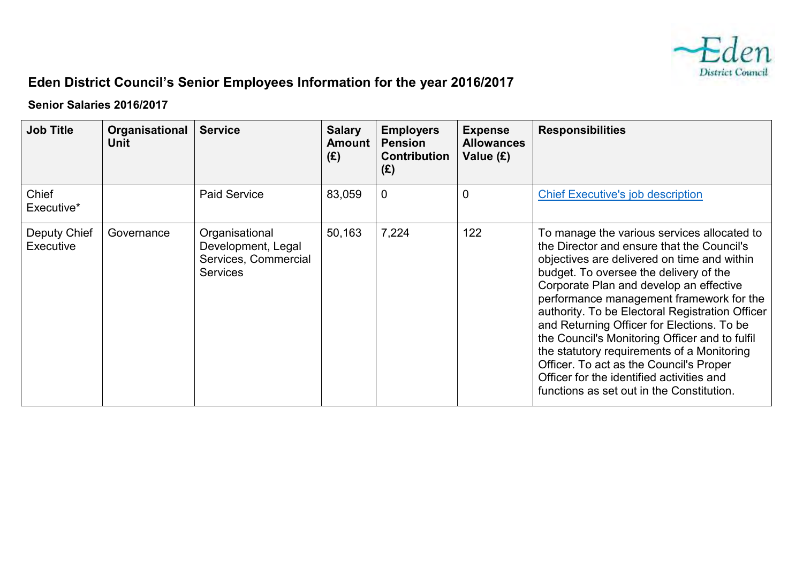

## **Eden District Council's Senior Employees Information for the year 2016/2017**

## **Senior Salaries 2016/2017**

| <b>Job Title</b>                 | Organisational<br>Unit | <b>Service</b>                                                                  | <b>Salary</b><br><b>Amount</b><br>(E) | <b>Employers</b><br><b>Pension</b><br><b>Contribution</b><br>(E) | <b>Expense</b><br><b>Allowances</b><br>Value $(E)$ | <b>Responsibilities</b>                                                                                                                                                                                                                                                                                                                                                                                                                                                                                                                                                                                         |
|----------------------------------|------------------------|---------------------------------------------------------------------------------|---------------------------------------|------------------------------------------------------------------|----------------------------------------------------|-----------------------------------------------------------------------------------------------------------------------------------------------------------------------------------------------------------------------------------------------------------------------------------------------------------------------------------------------------------------------------------------------------------------------------------------------------------------------------------------------------------------------------------------------------------------------------------------------------------------|
| Chief<br>Executive*              |                        | <b>Paid Service</b>                                                             | 83,059                                | 0                                                                | $\mathbf 0$                                        | <b>Chief Executive's job description</b>                                                                                                                                                                                                                                                                                                                                                                                                                                                                                                                                                                        |
| <b>Deputy Chief</b><br>Executive | Governance             | Organisational<br>Development, Legal<br>Services, Commercial<br><b>Services</b> | 50,163                                | 7,224                                                            | 122                                                | To manage the various services allocated to<br>the Director and ensure that the Council's<br>objectives are delivered on time and within<br>budget. To oversee the delivery of the<br>Corporate Plan and develop an effective<br>performance management framework for the<br>authority. To be Electoral Registration Officer<br>and Returning Officer for Elections. To be<br>the Council's Monitoring Officer and to fulfil<br>the statutory requirements of a Monitoring<br>Officer. To act as the Council's Proper<br>Officer for the identified activities and<br>functions as set out in the Constitution. |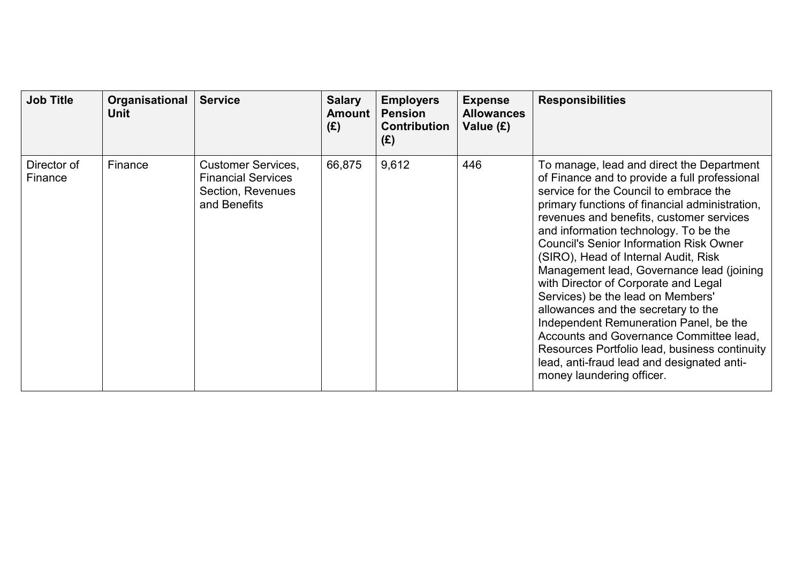| <b>Job Title</b>       | Organisational<br>Unit | <b>Service</b>                                                                              | <b>Salary</b><br><b>Amount</b><br>(E) | <b>Employers</b><br><b>Pension</b><br><b>Contribution</b><br>(E) | <b>Expense</b><br><b>Allowances</b><br>Value (£) | <b>Responsibilities</b>                                                                                                                                                                                                                                                                                                                                                                                                                                                                                                                                                                                                                                                                                                                                 |
|------------------------|------------------------|---------------------------------------------------------------------------------------------|---------------------------------------|------------------------------------------------------------------|--------------------------------------------------|---------------------------------------------------------------------------------------------------------------------------------------------------------------------------------------------------------------------------------------------------------------------------------------------------------------------------------------------------------------------------------------------------------------------------------------------------------------------------------------------------------------------------------------------------------------------------------------------------------------------------------------------------------------------------------------------------------------------------------------------------------|
| Director of<br>Finance | Finance                | <b>Customer Services,</b><br><b>Financial Services</b><br>Section, Revenues<br>and Benefits | 66,875                                | 9,612                                                            | 446                                              | To manage, lead and direct the Department<br>of Finance and to provide a full professional<br>service for the Council to embrace the<br>primary functions of financial administration,<br>revenues and benefits, customer services<br>and information technology. To be the<br><b>Council's Senior Information Risk Owner</b><br>(SIRO), Head of Internal Audit, Risk<br>Management lead, Governance lead (joining<br>with Director of Corporate and Legal<br>Services) be the lead on Members'<br>allowances and the secretary to the<br>Independent Remuneration Panel, be the<br>Accounts and Governance Committee lead,<br>Resources Portfolio lead, business continuity<br>lead, anti-fraud lead and designated anti-<br>money laundering officer. |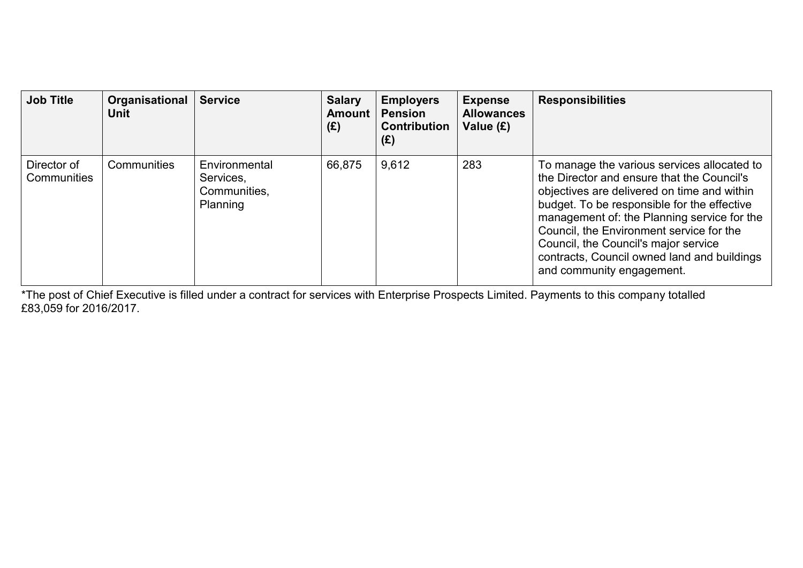| <b>Job Title</b>                  | Organisational<br><b>Unit</b> | <b>Service</b>                                         | <b>Salary</b><br><b>Amount</b><br>(E) | <b>Employers</b><br><b>Pension</b><br><b>Contribution</b><br>(E) | <b>Expense</b><br><b>Allowances</b><br>Value (£) | <b>Responsibilities</b>                                                                                                                                                                                                                                                                                                                                                                                |
|-----------------------------------|-------------------------------|--------------------------------------------------------|---------------------------------------|------------------------------------------------------------------|--------------------------------------------------|--------------------------------------------------------------------------------------------------------------------------------------------------------------------------------------------------------------------------------------------------------------------------------------------------------------------------------------------------------------------------------------------------------|
| Director of<br><b>Communities</b> | <b>Communities</b>            | Environmental<br>Services.<br>Communities.<br>Planning | 66,875                                | 9,612                                                            | 283                                              | To manage the various services allocated to<br>the Director and ensure that the Council's<br>objectives are delivered on time and within<br>budget. To be responsible for the effective<br>management of: the Planning service for the<br>Council, the Environment service for the<br>Council, the Council's major service<br>contracts, Council owned land and buildings<br>and community engagement. |

\*The post of Chief Executive is filled under a contract for services with Enterprise Prospects Limited. Payments to this company totalled £83,059 for 2016/2017.